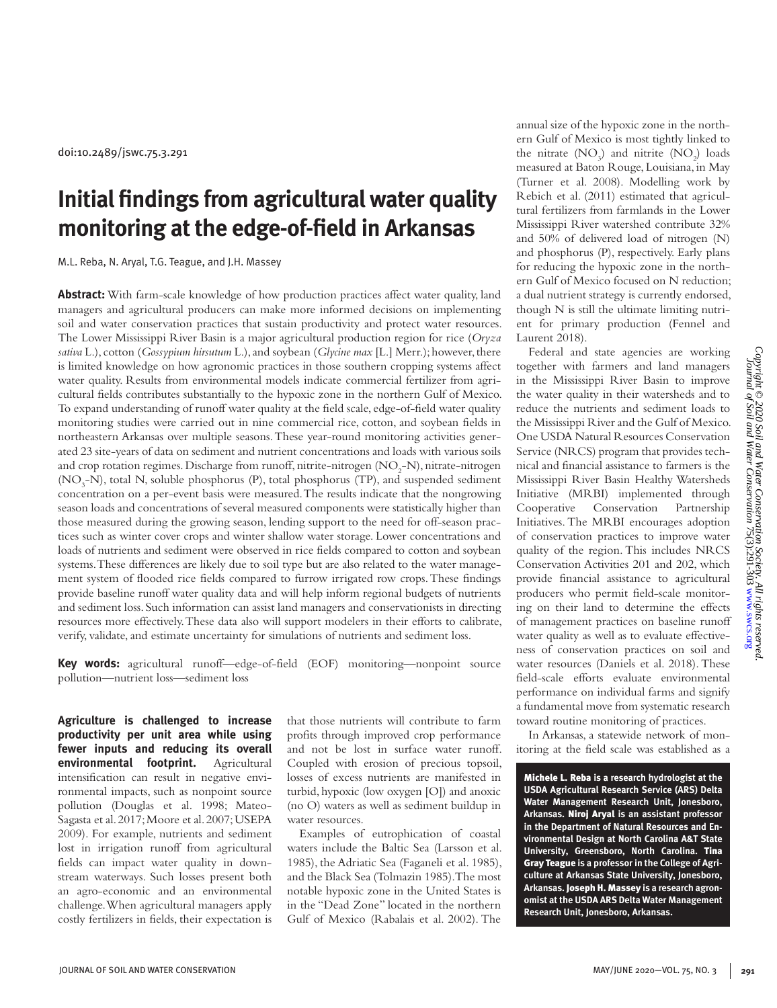# **Initial findings from agricultural water quality monitoring at the edge-of-field in Arkansas**

M.L. Reba, N. Aryal, T.G. Teague, and J.H. Massey

**Abstract:** With farm-scale knowledge of how production practices affect water quality, land managers and agricultural producers can make more informed decisions on implementing soil and water conservation practices that sustain productivity and protect water resources. The Lower Mississippi River Basin is a major agricultural production region for rice (*Oryza sativa* L.), cotton (*Gossypium hirsutum* L.), and soybean (*Glycine max* [L.] Merr.); however, there is limited knowledge on how agronomic practices in those southern cropping systems affect water quality. Results from environmental models indicate commercial fertilizer from agricultural fields contributes substantially to the hypoxic zone in the northern Gulf of Mexico. To expand understanding of runoff water quality at the field scale, edge-of-field water quality monitoring studies were carried out in nine commercial rice, cotton, and soybean fields in northeastern Arkansas over multiple seasons. These year-round monitoring activities generated 23 site-years of data on sediment and nutrient concentrations and loads with various soils and crop rotation regimes. Discharge from runoff, nitrite-nitrogen  $(\mathrm{NO}_2\text{-}\mathrm{N})$ , nitrate-nitrogen (NO<sub>3</sub>-N), total N, soluble phosphorus (P), total phosphorus (TP), and suspended sediment concentration on a per-event basis were measured. The results indicate that the nongrowing season loads and concentrations of several measured components were statistically higher than those measured during the growing season, lending support to the need for off-season practices such as winter cover crops and winter shallow water storage. Lower concentrations and loads of nutrients and sediment were observed in rice fields compared to cotton and soybean systems. These differences are likely due to soil type but are also related to the water management system of flooded rice fields compared to furrow irrigated row crops. These findings provide baseline runoff water quality data and will help inform regional budgets of nutrients and sediment loss. Such information can assist land managers and conservationists in directing resources more effectively. These data also will support modelers in their efforts to calibrate, verify, validate, and estimate uncertainty for simulations of nutrients and sediment loss.

**Key words:** agricultural runoff—edge-of-field (EOF) monitoring—nonpoint source pollution—nutrient loss—sediment loss

**Agriculture is challenged to increase productivity per unit area while using fewer inputs and reducing its overall environmental footprint.** Agricultural intensification can result in negative environmental impacts, such as nonpoint source pollution (Douglas et al. 1998; Mateo-Sagasta et al. 2017; Moore et al. 2007; USEPA 2009). For example, nutrients and sediment lost in irrigation runoff from agricultural fields can impact water quality in downstream waterways. Such losses present both an agro-economic and an environmental challenge. When agricultural managers apply costly fertilizers in fields, their expectation is that those nutrients will contribute to farm profits through improved crop performance and not be lost in surface water runoff. Coupled with erosion of precious topsoil, losses of excess nutrients are manifested in turbid, hypoxic (low oxygen [O]) and anoxic (no O) waters as well as sediment buildup in water resources.

Examples of eutrophication of coastal waters include the Baltic Sea (Larsson et al. 1985), the Adriatic Sea (Faganeli et al. 1985), and the Black Sea (Tolmazin 1985). The most notable hypoxic zone in the United States is in the "Dead Zone" located in the northern Gulf of Mexico (Rabalais et al. 2002). The

annual size of the hypoxic zone in the northern Gulf of Mexico is most tightly linked to the nitrate  $(NO_3)$  and nitrite  $(NO_2)$  loads measured at Baton Rouge, Louisiana, in May (Turner et al. 2008). Modelling work by Rebich et al. (2011) estimated that agricultural fertilizers from farmlands in the Lower Mississippi River watershed contribute 32% and 50% of delivered load of nitrogen (N) and phosphorus (P), respectively. Early plans for reducing the hypoxic zone in the northern Gulf of Mexico focused on N reduction; a dual nutrient strategy is currently endorsed, though N is still the ultimate limiting nutrient for primary production (Fennel and Laurent 2018).

Federal and state agencies are working together with farmers and land managers in the Mississippi River Basin to improve the water quality in their watersheds and to reduce the nutrients and sediment loads to the Mississippi River and the Gulf of Mexico. One USDA Natural Resources Conservation Service (NRCS) program that provides technical and financial assistance to farmers is the Mississippi River Basin Healthy Watersheds Initiative (MRBI) implemented through Cooperative Conservation Partnership Initiatives. The MRBI encourages adoption of conservation practices to improve water quality of the region. This includes NRCS Conservation Activities 201 and 202, which provide financial assistance to agricultural producers who permit field-scale monitoring on their land to determine the effects of management practices on baseline runoff water quality as well as to evaluate effectiveness of conservation practices on soil and water resources (Daniels et al. 2018). These field-scale efforts evaluate environmental performance on individual farms and signify a fundamental move from systematic research toward routine monitoring of practices.

In Arkansas, a statewide network of monitoring at the field scale was established as a

Michele L. Reba **is a research hydrologist at the USDA Agricultural Research Service (ARS) Delta Water Management Research Unit, Jonesboro, Arkansas.** Niroj Aryal **is an assistant professor in the Department of Natural Resources and Environmental Design at North Carolina A&T State University, Greensboro, North Carolina.** Tina Gray Teague **is a professor in the College of Agriculture at Arkansas State University, Jonesboro, Arkansas.** Joseph H. Massey **is a research agronomist at the USDA ARS Delta Water Management Research Unit, Jonesboro, Arkansas.**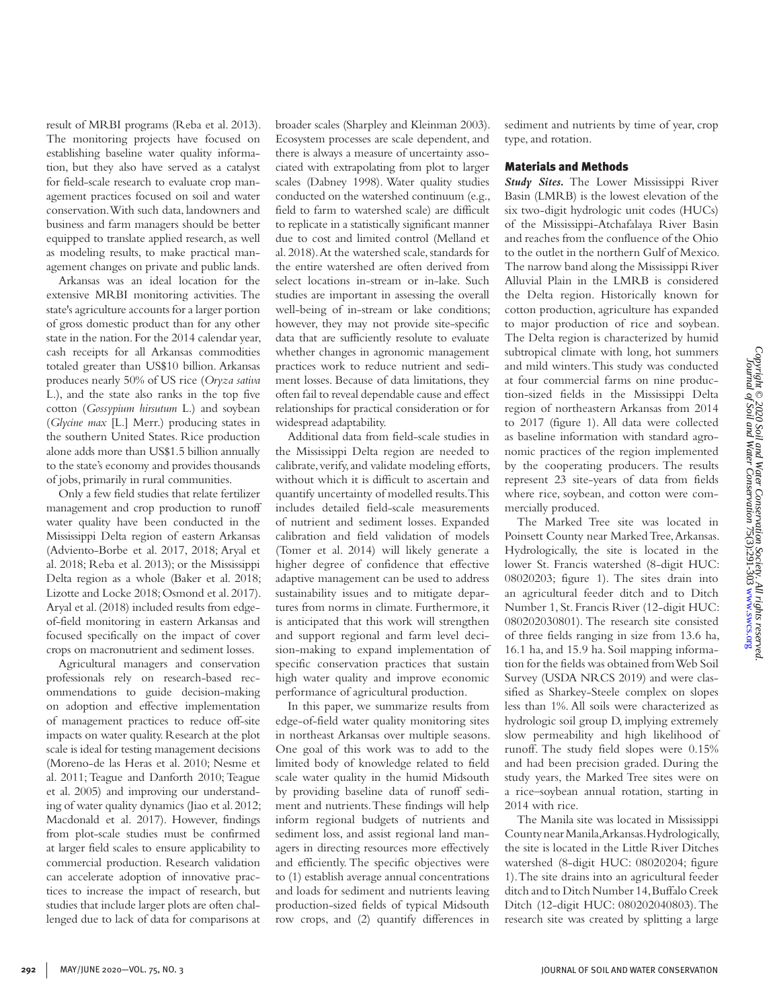Copyright © 2020 Soil and Water Conservation Society. All rights reserved<br>Uournal of Soil and Water Conservation 75(3):291-303 www.swcs.org *Copyright © 2020 Soil and Water Conservation Society. All rights reserved.* [www.swcs.org](http://www.swcs.org) 75(3):291-303*Journal of Soil and Water Conservation*

result of MRBI programs (Reba et al. 2013). The monitoring projects have focused on establishing baseline water quality information, but they also have served as a catalyst for field-scale research to evaluate crop management practices focused on soil and water conservation. With such data, landowners and business and farm managers should be better equipped to translate applied research, as well as modeling results, to make practical management changes on private and public lands.

Arkansas was an ideal location for the extensive MRBI monitoring activities. The state's agriculture accounts for a larger portion of gross domestic product than for any other state in the nation. For the 2014 calendar year, cash receipts for all Arkansas commodities totaled greater than US\$10 billion. Arkansas produces nearly 50% of US rice (*Oryza sativa* L.), and the state also ranks in the top five cotton (*Gossypium hirsutum* L.) and soybean (*Glycine max* [L.] Merr.) producing states in the southern United States. Rice production alone adds more than US\$1.5 billion annually to the state's economy and provides thousands of jobs, primarily in rural communities.

Only a few field studies that relate fertilizer management and crop production to runoff water quality have been conducted in the Mississippi Delta region of eastern Arkansas (Adviento-Borbe et al. 2017, 2018; Aryal et al. 2018; Reba et al. 2013); or the Mississippi Delta region as a whole (Baker et al. 2018; Lizotte and Locke 2018; Osmond et al. 2017). Aryal et al. (2018) included results from edgeof-field monitoring in eastern Arkansas and focused specifically on the impact of cover crops on macronutrient and sediment losses.

Agricultural managers and conservation professionals rely on research-based recommendations to guide decision-making on adoption and effective implementation of management practices to reduce off-site impacts on water quality. Research at the plot scale is ideal for testing management decisions (Moreno-de las Heras et al. 2010; Nesme et al. 2011; Teague and Danforth 2010; Teague et al. 2005) and improving our understanding of water quality dynamics (Jiao et al. 2012; Macdonald et al. 2017). However, findings from plot-scale studies must be confirmed at larger field scales to ensure applicability to commercial production. Research validation can accelerate adoption of innovative practices to increase the impact of research, but studies that include larger plots are often challenged due to lack of data for comparisons at broader scales (Sharpley and Kleinman 2003). Ecosystem processes are scale dependent, and there is always a measure of uncertainty associated with extrapolating from plot to larger scales (Dabney 1998). Water quality studies conducted on the watershed continuum (e.g., field to farm to watershed scale) are difficult to replicate in a statistically significant manner due to cost and limited control (Melland et al. 2018). At the watershed scale, standards for the entire watershed are often derived from select locations in-stream or in-lake. Such studies are important in assessing the overall well-being of in-stream or lake conditions; however, they may not provide site-specific data that are sufficiently resolute to evaluate whether changes in agronomic management practices work to reduce nutrient and sediment losses. Because of data limitations, they often fail to reveal dependable cause and effect relationships for practical consideration or for widespread adaptability.

Additional data from field-scale studies in the Mississippi Delta region are needed to calibrate, verify, and validate modeling efforts, without which it is difficult to ascertain and quantify uncertainty of modelled results. This includes detailed field-scale measurements of nutrient and sediment losses. Expanded calibration and field validation of models (Tomer et al. 2014) will likely generate a higher degree of confidence that effective adaptive management can be used to address sustainability issues and to mitigate departures from norms in climate. Furthermore, it is anticipated that this work will strengthen and support regional and farm level decision-making to expand implementation of specific conservation practices that sustain high water quality and improve economic performance of agricultural production.

In this paper, we summarize results from edge-of-field water quality monitoring sites in northeast Arkansas over multiple seasons. One goal of this work was to add to the limited body of knowledge related to field scale water quality in the humid Midsouth by providing baseline data of runoff sediment and nutrients. These findings will help inform regional budgets of nutrients and sediment loss, and assist regional land managers in directing resources more effectively and efficiently. The specific objectives were to (1) establish average annual concentrations and loads for sediment and nutrients leaving production-sized fields of typical Midsouth row crops, and (2) quantify differences in sediment and nutrients by time of year, crop type, and rotation.

#### Materials and Methods

*Study Sites.* The Lower Mississippi River Basin (LMRB) is the lowest elevation of the six two-digit hydrologic unit codes (HUCs) of the Mississippi-Atchafalaya River Basin and reaches from the confluence of the Ohio to the outlet in the northern Gulf of Mexico. The narrow band along the Mississippi River Alluvial Plain in the LMRB is considered the Delta region. Historically known for cotton production, agriculture has expanded to major production of rice and soybean. The Delta region is characterized by humid subtropical climate with long, hot summers and mild winters. This study was conducted at four commercial farms on nine production-sized fields in the Mississippi Delta region of northeastern Arkansas from 2014 to 2017 (figure 1). All data were collected as baseline information with standard agronomic practices of the region implemented by the cooperating producers. The results represent 23 site-years of data from fields where rice, soybean, and cotton were commercially produced.

The Marked Tree site was located in Poinsett County near Marked Tree, Arkansas. Hydrologically, the site is located in the lower St. Francis watershed (8-digit HUC: 08020203; figure 1). The sites drain into an agricultural feeder ditch and to Ditch Number 1, St. Francis River (12-digit HUC: 080202030801). The research site consisted of three fields ranging in size from 13.6 ha, 16.1 ha, and 15.9 ha. Soil mapping information for the fields was obtained from Web Soil Survey (USDA NRCS 2019) and were classified as Sharkey-Steele complex on slopes less than 1%. All soils were characterized as hydrologic soil group D, implying extremely slow permeability and high likelihood of runoff. The study field slopes were 0.15% and had been precision graded. During the study years, the Marked Tree sites were on a rice–soybean annual rotation, starting in 2014 with rice.

The Manila site was located in Mississippi County near Manila, Arkansas. Hydrologically, the site is located in the Little River Ditches watershed (8-digit HUC: 08020204; figure 1). The site drains into an agricultural feeder ditch and to Ditch Number 14, Buffalo Creek Ditch (12-digit HUC: 080202040803). The research site was created by splitting a large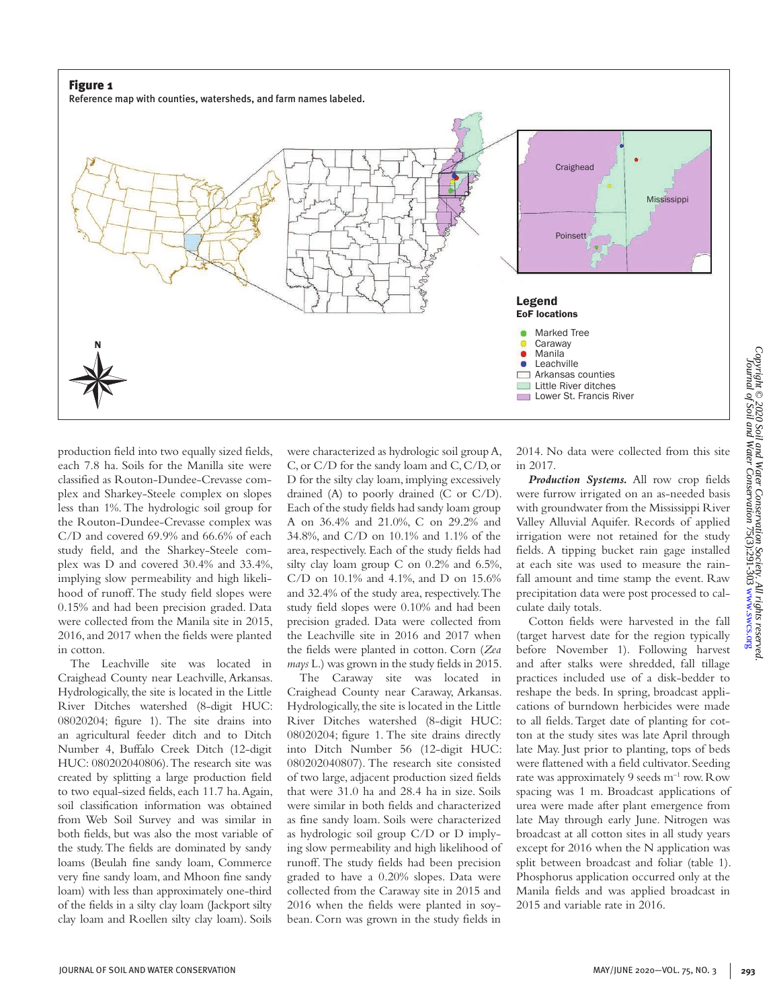Figure 1

Reference map with counties, watersheds, and farm names labeled.



production field into two equally sized fields, each 7.8 ha. Soils for the Manilla site were classified as Routon-Dundee-Crevasse complex and Sharkey-Steele complex on slopes less than 1%. The hydrologic soil group for the Routon-Dundee-Crevasse complex was C/D and covered 69.9% and 66.6% of each study field, and the Sharkey-Steele complex was D and covered 30.4% and 33.4%, implying slow permeability and high likelihood of runoff. The study field slopes were 0.15% and had been precision graded. Data were collected from the Manila site in 2015, 2016, and 2017 when the fields were planted in cotton.

The Leachville site was located in Craighead County near Leachville, Arkansas. Hydrologically, the site is located in the Little River Ditches watershed (8-digit HUC: 08020204; figure 1). The site drains into an agricultural feeder ditch and to Ditch Number 4, Buffalo Creek Ditch (12-digit HUC: 080202040806). The research site was created by splitting a large production field to two equal-sized fields, each 11.7 ha. Again, soil classification information was obtained from Web Soil Survey and was similar in both fields, but was also the most variable of the study. The fields are dominated by sandy loams (Beulah fine sandy loam, Commerce very fine sandy loam, and Mhoon fine sandy loam) with less than approximately one-third of the fields in a silty clay loam (Jackport silty clay loam and Roellen silty clay loam). Soils

were characterized as hydrologic soil group A, C, or C/D for the sandy loam and C, C/D, or D for the silty clay loam, implying excessively drained (A) to poorly drained (C or C/D). Each of the study fields had sandy loam group A on 36.4% and 21.0%, C on 29.2% and 34.8%, and C/D on 10.1% and 1.1% of the area, respectively. Each of the study fields had silty clay loam group C on 0.2% and 6.5%, C/D on 10.1% and 4.1%, and D on 15.6% and 32.4% of the study area, respectively. The study field slopes were 0.10% and had been precision graded. Data were collected from the Leachville site in 2016 and 2017 when the fields were planted in cotton. Corn (*Zea mays* L.) was grown in the study fields in 2015.

The Caraway site was located in Craighead County near Caraway, Arkansas. Hydrologically, the site is located in the Little River Ditches watershed (8-digit HUC: 08020204; figure 1. The site drains directly into Ditch Number 56 (12-digit HUC: 080202040807). The research site consisted of two large, adjacent production sized fields that were 31.0 ha and 28.4 ha in size. Soils were similar in both fields and characterized as fine sandy loam. Soils were characterized as hydrologic soil group C/D or D implying slow permeability and high likelihood of runoff. The study fields had been precision graded to have a 0.20% slopes. Data were collected from the Caraway site in 2015 and 2016 when the fields were planted in soybean. Corn was grown in the study fields in

2014. No data were collected from this site in 2017.

*Production Systems.* All row crop fields were furrow irrigated on an as-needed basis with groundwater from the Mississippi River Valley Alluvial Aquifer. Records of applied irrigation were not retained for the study fields. A tipping bucket rain gage installed at each site was used to measure the rainfall amount and time stamp the event. Raw precipitation data were post processed to calculate daily totals.

Cotton fields were harvested in the fall (target harvest date for the region typically before November 1). Following harvest and after stalks were shredded, fall tillage practices included use of a disk-bedder to reshape the beds. In spring, broadcast applications of burndown herbicides were made to all fields. Target date of planting for cotton at the study sites was late April through late May. Just prior to planting, tops of beds were flattened with a field cultivator. Seeding rate was approximately 9 seeds m–1 row. Row spacing was 1 m. Broadcast applications of urea were made after plant emergence from late May through early June. Nitrogen was broadcast at all cotton sites in all study years except for 2016 when the N application was split between broadcast and foliar (table 1). Phosphorus application occurred only at the Manila fields and was applied broadcast in 2015 and variable rate in 2016.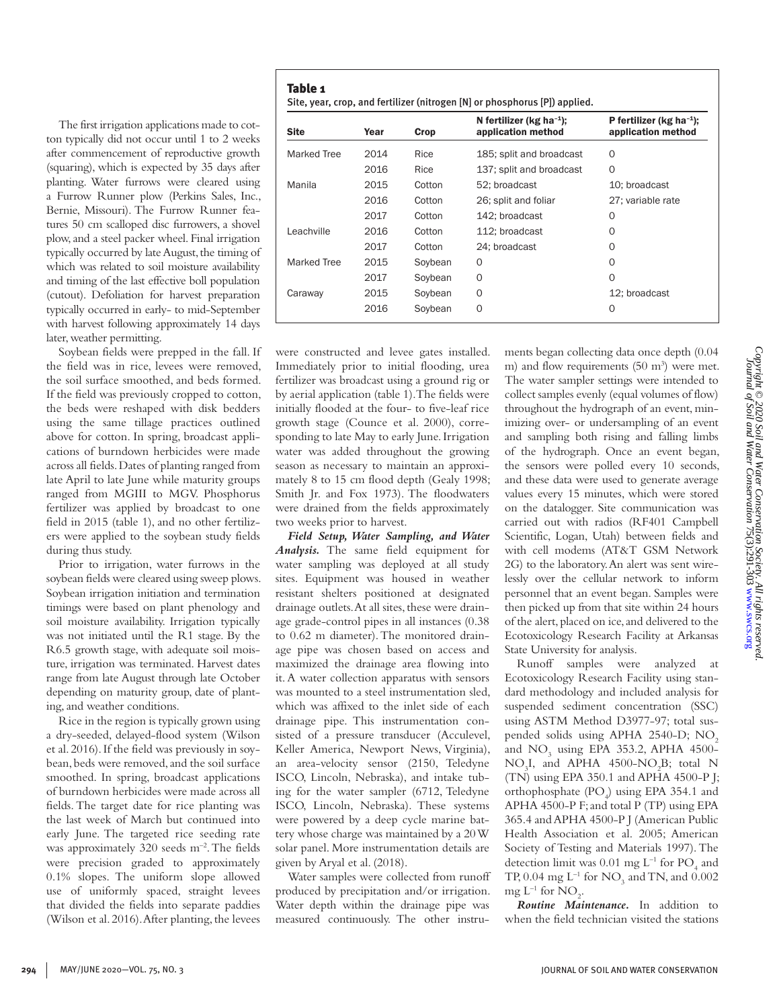The first irrigation applications made to cotton typically did not occur until 1 to 2 weeks after commencement of reproductive growth (squaring), which is expected by 35 days after planting. Water furrows were cleared using a Furrow Runner plow (Perkins Sales, Inc., Bernie, Missouri). The Furrow Runner features 50 cm scalloped disc furrowers, a shovel plow, and a steel packer wheel. Final irrigation typically occurred by late August, the timing of which was related to soil moisture availability and timing of the last effective boll population (cutout). Defoliation for harvest preparation typically occurred in early- to mid-September with harvest following approximately 14 days later, weather permitting.

Soybean fields were prepped in the fall. If the field was in rice, levees were removed, the soil surface smoothed, and beds formed. If the field was previously cropped to cotton, the beds were reshaped with disk bedders using the same tillage practices outlined above for cotton. In spring, broadcast applications of burndown herbicides were made across all fields. Dates of planting ranged from late April to late June while maturity groups ranged from MGIII to MGV. Phosphorus fertilizer was applied by broadcast to one field in 2015 (table 1), and no other fertilizers were applied to the soybean study fields during thus study.

Prior to irrigation, water furrows in the soybean fields were cleared using sweep plows. Soybean irrigation initiation and termination timings were based on plant phenology and soil moisture availability. Irrigation typically was not initiated until the R1 stage. By the R6.5 growth stage, with adequate soil moisture, irrigation was terminated. Harvest dates range from late August through late October depending on maturity group, date of planting, and weather conditions.

Rice in the region is typically grown using a dry-seeded, delayed-flood system (Wilson et al. 2016). If the field was previously in soybean, beds were removed, and the soil surface smoothed. In spring, broadcast applications of burndown herbicides were made across all fields. The target date for rice planting was the last week of March but continued into early June. The targeted rice seeding rate was approximately 320 seeds m<sup>-2</sup>. The fields were precision graded to approximately 0.1% slopes. The uniform slope allowed use of uniformly spaced, straight levees that divided the fields into separate paddies (Wilson et al. 2016). After planting, the levees were constructed and levee gates installed. Immediately prior to initial flooding, urea fertilizer was broadcast using a ground rig or by aerial application (table 1). The fields were initially flooded at the four- to five-leaf rice growth stage (Counce et al. 2000), corresponding to late May to early June. Irrigation water was added throughout the growing season as necessary to maintain an approximately 8 to 15 cm flood depth (Gealy 1998; Smith Jr. and Fox 1973). The floodwaters were drained from the fields approximately two weeks prior to harvest.

*Field Setup, Water Sampling, and Water Analysis.* The same field equipment for water sampling was deployed at all study sites. Equipment was housed in weather resistant shelters positioned at designated drainage outlets. At all sites, these were drainage grade-control pipes in all instances (0.38 to 0.62 m diameter). The monitored drainage pipe was chosen based on access and maximized the drainage area flowing into it. A water collection apparatus with sensors was mounted to a steel instrumentation sled, which was affixed to the inlet side of each drainage pipe. This instrumentation consisted of a pressure transducer (Acculevel, Keller America, Newport News, Virginia), an area-velocity sensor (2150, Teledyne ISCO, Lincoln, Nebraska), and intake tubing for the water sampler (6712, Teledyne ISCO, Lincoln, Nebraska). These systems were powered by a deep cycle marine battery whose charge was maintained by a 20 W solar panel. More instrumentation details are given by Aryal et al. (2018).

Water samples were collected from runoff produced by precipitation and/or irrigation. Water depth within the drainage pipe was measured continuously. The other instruments began collecting data once depth (0.04 m) and flow requirements (50 m<sup>3</sup>) were met. The water sampler settings were intended to collect samples evenly (equal volumes of flow) throughout the hydrograph of an event, minimizing over- or undersampling of an event and sampling both rising and falling limbs of the hydrograph. Once an event began, the sensors were polled every 10 seconds, and these data were used to generate average values every 15 minutes, which were stored on the datalogger. Site communication was carried out with radios (RF401 Campbell Scientific, Logan, Utah) between fields and with cell modems (AT&T GSM Network 2G) to the laboratory. An alert was sent wirelessly over the cellular network to inform personnel that an event began. Samples were then picked up from that site within 24 hours of the alert, placed on ice, and delivered to the Ecotoxicology Research Facility at Arkansas State University for analysis.

Runoff samples were analyzed at Ecotoxicology Research Facility using standard methodology and included analysis for suspended sediment concentration (SSC) using ASTM Method D3977-97; total suspended solids using APHA 2540-D; NO<sub>2</sub> and  $NO<sub>3</sub>$  using EPA 353.2, APHA 4500- $NO<sub>3</sub>$ I, and APHA 4500-NO<sub>2</sub>B; total N (TN) using EPA 350.1 and APHA 4500-P J; orthophosphate  $(PO_4)$  using EPA 354.1 and APHA 4500-P F; and total P (TP) using EPA 365.4 and APHA 4500-P J (American Public Health Association et al. 2005; American Society of Testing and Materials 1997). The detection limit was  $0.01$  mg  $L^{-1}$  for  $PO_4$  and TP, 0.04 mg  $L^{-1}$  for  $NO_3$  and TN, and 0.002 mg  $L^{-1}$  for  $NO_2$ .

*Routine Maintenance.* In addition to when the field technician visited the stations

| 4 | MAY/JUNE 2020-VOL. 75, NO. 3 |
|---|------------------------------|
|   |                              |

# Table 1 and fertilizer (nitrogen [N] or phosphorus [P]) applied

| <b>Site</b>        | Year | Crop    | N fertilizer (kg ha $^{-1}$ );<br>application method | P fertilizer (kg ha $^{-1}$ );<br>application method |
|--------------------|------|---------|------------------------------------------------------|------------------------------------------------------|
| <b>Marked Tree</b> | 2014 | Rice    | 185; split and broadcast                             | O                                                    |
|                    | 2016 | Rice    | 137; split and broadcast                             | O                                                    |
| Manila             | 2015 | Cotton  | 52: broadcast                                        | 10; broadcast                                        |
|                    | 2016 | Cotton  | 26; split and foliar                                 | 27; variable rate                                    |
|                    | 2017 | Cotton  | 142; broadcast                                       | 0                                                    |
| Leachville         | 2016 | Cotton  | 112: broadcast                                       | 0                                                    |
|                    | 2017 | Cotton  | 24: broadcast                                        | 0                                                    |
| Marked Tree        | 2015 | Soybean | 0                                                    | 0                                                    |
|                    | 2017 | Soybean | 0                                                    | O                                                    |
| Caraway            | 2015 | Soybean | 0                                                    | 12; broadcast                                        |
|                    | 2016 | Soybean | 0                                                    | 0                                                    |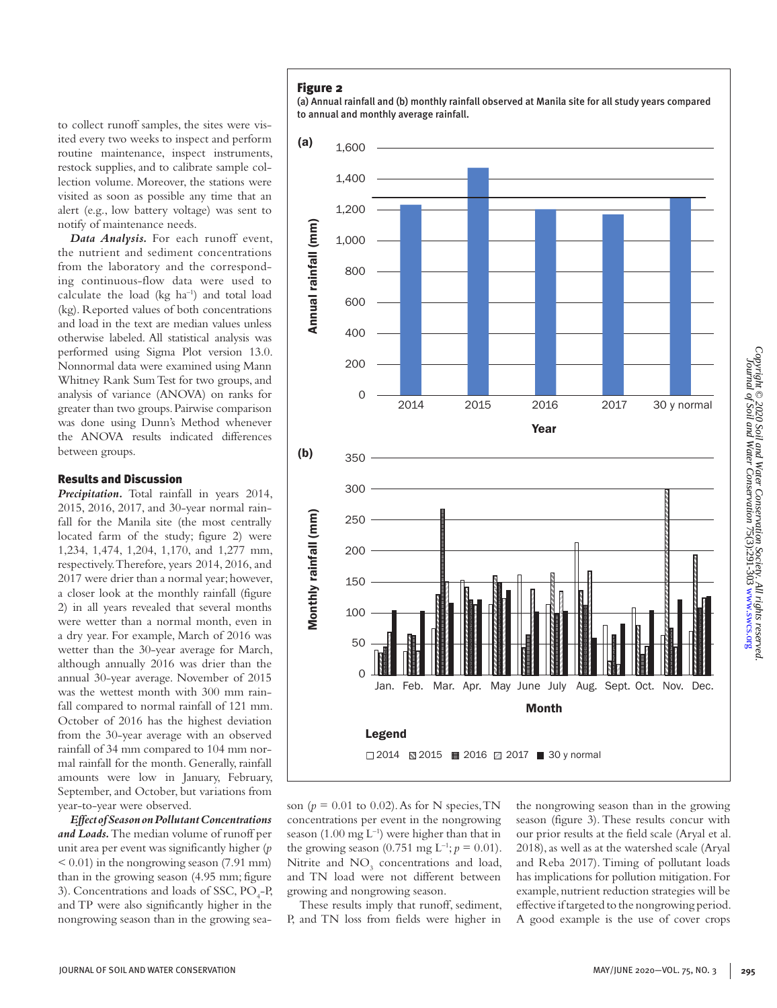to collect runoff samples, the sites were visited every two weeks to inspect and perform routine maintenance, inspect instruments, restock supplies, and to calibrate sample collection volume. Moreover, the stations were visited as soon as possible any time that an alert (e.g., low battery voltage) was sent to notify of maintenance needs.

*Data Analysis.* For each runoff event, the nutrient and sediment concentrations from the laboratory and the corresponding continuous-flow data were used to calculate the load ( $kg \text{ ha}^{-1}$ ) and total load (kg). Reported values of both concentrations and load in the text are median values unless otherwise labeled. All statistical analysis was performed using Sigma Plot version 13.0. Nonnormal data were examined using Mann Whitney Rank Sum Test for two groups, and analysis of variance (ANOVA) on ranks for greater than two groups. Pairwise comparison was done using Dunn's Method whenever the ANOVA results indicated differences between groups.

#### Results and Discussion

*Precipitation.* Total rainfall in years 2014, 2015, 2016, 2017, and 30-year normal rainfall for the Manila site (the most centrally located farm of the study; figure 2) were 1,234, 1,474, 1,204, 1,170, and 1,277 mm, respectively. Therefore, years 2014, 2016, and 2017 were drier than a normal year; however, a closer look at the monthly rainfall (figure 2) in all years revealed that several months were wetter than a normal month, even in a dry year. For example, March of 2016 was wetter than the 30-year average for March, although annually 2016 was drier than the annual 30-year average. November of 2015 was the wettest month with 300 mm rainfall compared to normal rainfall of 121 mm. October of 2016 has the highest deviation from the 30-year average with an observed rainfall of 34 mm compared to 104 mm normal rainfall for the month. Generally, rainfall amounts were low in January, February, September, and October, but variations from year-to-year were observed.

*Effect of Season on Pollutant Concentrations and Loads.* The median volume of runoff per unit area per event was significantly higher (*p*   $< 0.01$ ) in the nongrowing season (7.91 mm) than in the growing season (4.95 mm; figure 3). Concentrations and loads of SSC,  $PO<sub>4</sub>-P$ , and TP were also significantly higher in the nongrowing season than in the growing sea-

## Figure 2

(a) Annual rainfall and (b) monthly rainfall observed at Manila site for all study years compared to annual and monthly average rainfall.



son ( $p = 0.01$  to 0.02). As for N species, TN concentrations per event in the nongrowing season (1.00 mg  $L^{-1}$ ) were higher than that in the growing season  $(0.751 \text{ mg } L^{-1}; p = 0.01)$ . Nitrite and  $NO<sub>3</sub>$  concentrations and load, and TN load were not different between growing and nongrowing season.

These results imply that runoff, sediment, P, and TN loss from fields were higher in

the nongrowing season than in the growing season (figure 3). These results concur with our prior results at the field scale (Aryal et al. 2018), as well as at the watershed scale (Aryal and Reba 2017). Timing of pollutant loads has implications for pollution mitigation. For example, nutrient reduction strategies will be effective if targeted to the nongrowing period. A good example is the use of cover crops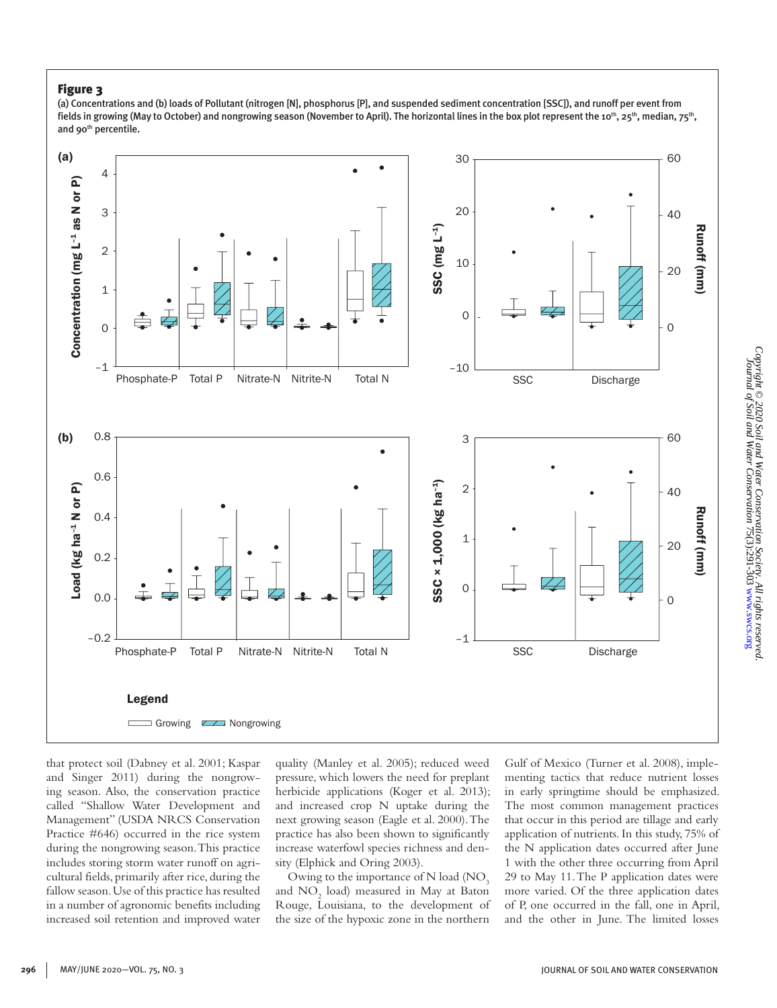(a) Concentrations and (b) loads of Pollutant (nitrogen [N], phosphorus [P], and suspended sediment concentration [SSC]), and runoff per event from fields in growing (May to October) and nongrowing season (November to April). The horizontal lines in the box plot represent the 10<sup>th</sup>, 25<sup>th</sup>, median, 75<sup>th</sup>, and 90<sup>th</sup> percentile.



that protect soil (Dabney et al. 2001; Kaspar and Singer 2011) during the nongrowing season. Also, the conservation practice called "Shallow Water Development and Management" (USDA NRCS Conservation Practice #646) occurred in the rice system during the nongrowing season. This practice includes storing storm water runoff on agricultural fields, primarily after rice, during the fallow season. Use of this practice has resulted in a number of agronomic benefits including increased soil retention and improved water quality (Manley et al. 2005); reduced weed pressure, which lowers the need for preplant herbicide applications (Koger et al. 2013); and increased crop N uptake during the next growing season (Eagle et al. 2000). The practice has also been shown to significantly increase waterfowl species richness and density (Elphick and Oring 2003).

Owing to the importance of N load (NO<sub>3</sub>) and  $\mathrm{NO}_2$  load) measured in May at Baton Rouge, Louisiana, to the development of the size of the hypoxic zone in the northern

Gulf of Mexico (Turner et al. 2008), implementing tactics that reduce nutrient losses in early springtime should be emphasized. The most common management practices that occur in this period are tillage and early application of nutrients. In this study, 75% of the N application dates occurred after June 1 with the other three occurring from April 29 to May 11. The P application dates were more varied. Of the three application dates of P, one occurred in the fall, one in April, and the other in June. The limited losses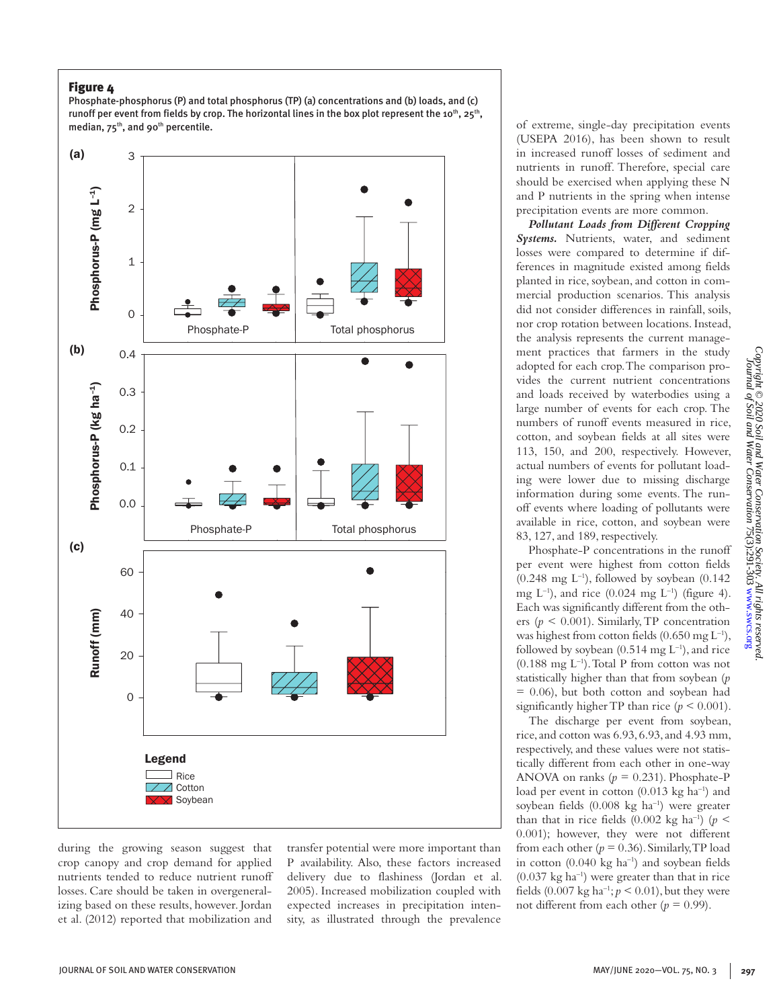



during the growing season suggest that crop canopy and crop demand for applied nutrients tended to reduce nutrient runoff losses. Care should be taken in overgeneralizing based on these results, however. Jordan et al. (2012) reported that mobilization and

transfer potential were more important than P availability. Also, these factors increased delivery due to flashiness (Jordan et al. 2005). Increased mobilization coupled with expected increases in precipitation intensity, as illustrated through the prevalence

of extreme, single-day precipitation events (USEPA 2016), has been shown to result in increased runoff losses of sediment and nutrients in runoff. Therefore, special care should be exercised when applying these N and P nutrients in the spring when intense precipitation events are more common.

*Pollutant Loads from Different Cropping Systems.* Nutrients, water, and sediment losses were compared to determine if differences in magnitude existed among fields planted in rice, soybean, and cotton in commercial production scenarios. This analysis did not consider differences in rainfall, soils, nor crop rotation between locations. Instead, the analysis represents the current management practices that farmers in the study adopted for each crop. The comparison provides the current nutrient concentrations and loads received by waterbodies using a large number of events for each crop. The numbers of runoff events measured in rice, cotton, and soybean fields at all sites were 113, 150, and 200, respectively. However, actual numbers of events for pollutant loading were lower due to missing discharge information during some events. The runoff events where loading of pollutants were available in rice, cotton, and soybean were 83, 127, and 189, respectively.

Phosphate-P concentrations in the runoff per event were highest from cotton fields  $(0.248 \text{ mg } L^{-1})$ , followed by soybean  $(0.142$ mg  $L^{-1}$ ), and rice (0.024 mg  $L^{-1}$ ) (figure 4). Each was significantly different from the others ( $p \leq 0.001$ ). Similarly, TP concentration was highest from cotton fields  $(0.650 \text{ mg } L^{-1})$ , followed by soybean  $(0.514 \text{ mg } L^{-1})$ , and rice  $(0.188 \text{ mg } L^{-1})$ . Total P from cotton was not statistically higher than that from soybean (*p*  = 0.06), but both cotton and soybean had significantly higher TP than rice  $(p < 0.001)$ .

The discharge per event from soybean, rice, and cotton was 6.93, 6.93, and 4.93 mm, respectively, and these values were not statistically different from each other in one-way ANOVA on ranks  $(p = 0.231)$ . Phosphate-P load per event in cotton  $(0.013 \text{ kg ha}^{-1})$  and soybean fields  $(0.008 \text{ kg ha}^{-1})$  were greater than that in rice fields  $(0.002 \text{ kg ha}^{-1})$  ( $p <$ 0.001); however, they were not different from each other  $(p = 0.36)$ . Similarly, TP load in cotton  $(0.040 \text{ kg ha}^{-1})$  and soybean fields  $(0.037 \text{ kg ha}^{-1})$  were greater than that in rice fields (0.007 kg ha<sup>-1</sup>;  $p < 0.01$ ), but they were not different from each other ( $p = 0.99$ ).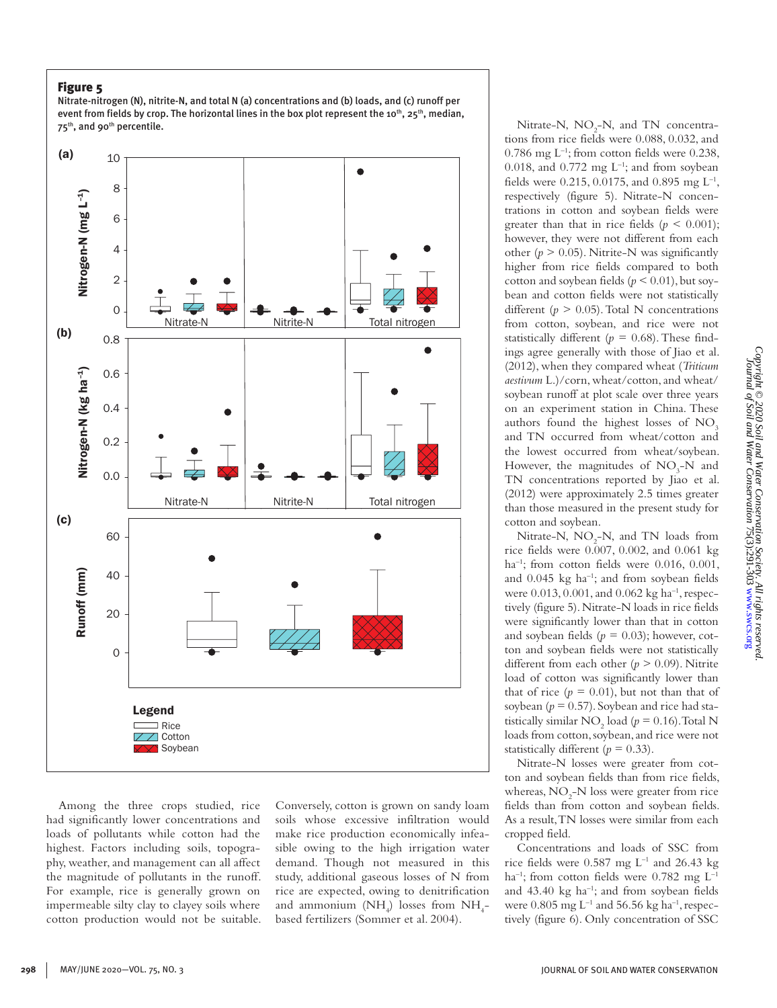

Nitrate-nitrogen (N), nitrite-N, and total N (a) concentrations and (b) loads, and (c) runoff per event from fields by crop. The horizontal lines in the box plot represent the 10<sup>th</sup>, 25<sup>th</sup>, median,

Among the three crops studied, rice had significantly lower concentrations and loads of pollutants while cotton had the highest. Factors including soils, topography, weather, and management can all affect the magnitude of pollutants in the runoff. For example, rice is generally grown on impermeable silty clay to clayey soils where cotton production would not be suitable. Conversely, cotton is grown on sandy loam soils whose excessive infiltration would make rice production economically infeasible owing to the high irrigation water demand. Though not measured in this study, additional gaseous losses of N from rice are expected, owing to denitrification and ammonium (NH<sub>4</sub>) losses from NH<sub>4</sub>based fertilizers (Sommer et al. 2004).

Nitrate-N,  $NO<sub>2</sub>$ -N, and TN concentrations from rice fields were 0.088, 0.032, and 0.786 mg  $L^{-1}$ ; from cotton fields were 0.238, 0.018, and 0.772 mg  $L^{-1}$ ; and from soybean fields were 0.215, 0.0175, and 0.895 mg  $L^{-1}$ , respectively (figure 5). Nitrate-N concentrations in cotton and soybean fields were greater than that in rice fields ( $p < 0.001$ ); however, they were not different from each other ( $p > 0.05$ ). Nitrite-N was significantly higher from rice fields compared to both cotton and soybean fields ( $p \leq 0.01$ ), but soybean and cotton fields were not statistically different ( $p > 0.05$ ). Total N concentrations from cotton, soybean, and rice were not statistically different ( $p = 0.68$ ). These findings agree generally with those of Jiao et al. (2012), when they compared wheat (*Triticum aestivum* L.)/corn, wheat/cotton, and wheat/ soybean runoff at plot scale over three years on an experiment station in China. These authors found the highest losses of NO<sub>3</sub> and TN occurred from wheat/cotton and the lowest occurred from wheat/soybean. However, the magnitudes of  $NO<sub>3</sub>-N$  and TN concentrations reported by Jiao et al. (2012) were approximately 2.5 times greater than those measured in the present study for cotton and soybean.

Nitrate-N,  $NO<sub>2</sub>$ -N, and TN loads from rice fields were 0.007, 0.002, and 0.061 kg ha<sup>-1</sup>; from cotton fields were  $0.016, 0.001$ , and  $0.045$  kg  $ha^{-1}$ ; and from soybean fields were 0.013, 0.001, and 0.062 kg ha<sup>-1</sup>, respectively (figure 5). Nitrate-N loads in rice fields were significantly lower than that in cotton and soybean fields  $(p = 0.03)$ ; however, cotton and soybean fields were not statistically different from each other (*p* > 0.09). Nitrite load of cotton was significantly lower than that of rice  $(p = 0.01)$ , but not than that of soybean ( $p = 0.57$ ). Soybean and rice had statistically similar  $NO_2$  load ( $p = 0.16$ ). Total N loads from cotton, soybean, and rice were not statistically different ( $p = 0.33$ ).

Nitrate-N losses were greater from cotton and soybean fields than from rice fields, whereas,  $NO_2$ -N loss were greater from rice fields than from cotton and soybean fields. As a result, TN losses were similar from each cropped field.

Concentrations and loads of SSC from rice fields were 0.587 mg  $L^{-1}$  and 26.43 kg ha<sup>-1</sup>; from cotton fields were 0.782 mg  $L^{-1}$ and 43.40 kg ha<sup>-1</sup>; and from soybean fields were  $0.805$  mg L<sup>-1</sup> and 56.56 kg ha<sup>-1</sup>, respectively (figure 6). Only concentration of SSC *Copyright © 2020 Soil and Water Conservation Society. All rights reserved.*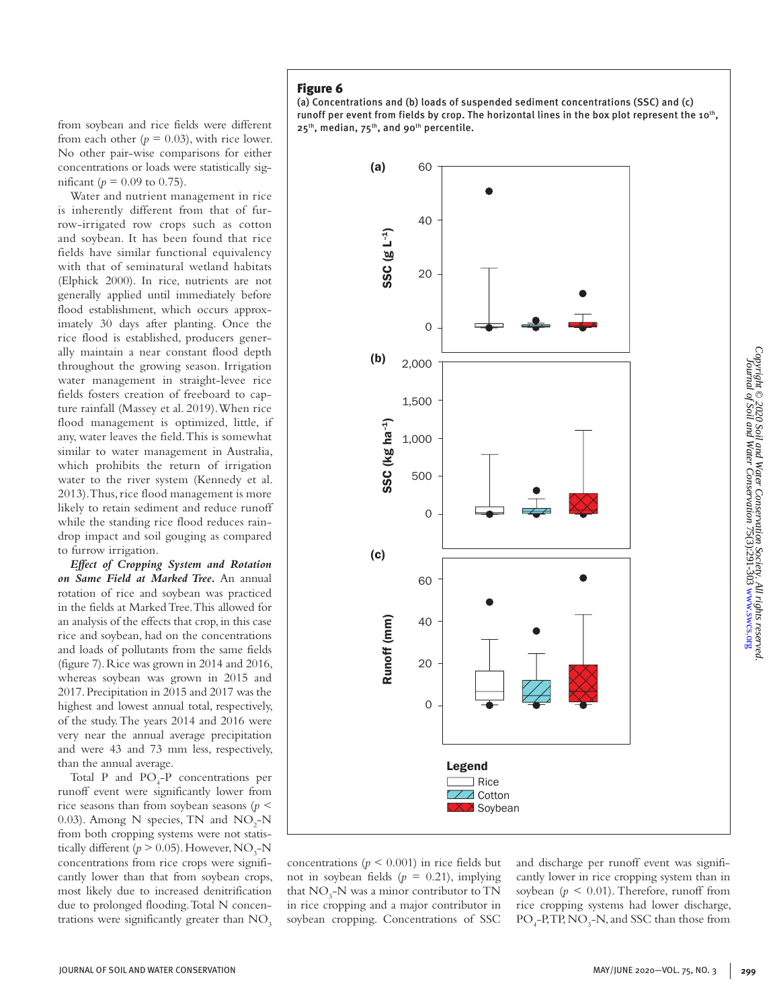from soybean and rice fields were different from each other  $(p = 0.03)$ , with rice lower. No other pair-wise comparisons for either concentrations or loads were statistically significant ( $p = 0.09$  to 0.75).

Water and nutrient management in rice is inherently different from that of furrow-irrigated row crops such as cotton and soybean. It has been found that rice fields have similar functional equivalency with that of seminatural wetland habitats (Elphick 2000). In rice, nutrients are not generally applied until immediately before flood establishment, which occurs approximately 30 days after planting. Once the rice flood is established, producers generally maintain a near constant flood depth throughout the growing season. Irrigation water management in straight-levee rice fields fosters creation of freeboard to capture rainfall (Massey et al. 2019). When rice flood management is optimized, little, if any, water leaves the field. This is somewhat similar to water management in Australia, which prohibits the return of irrigation water to the river system (Kennedy et al. 2013). Thus, rice flood management is more likely to retain sediment and reduce runoff while the standing rice flood reduces raindrop impact and soil gouging as compared to furrow irrigation.

*Effect of Cropping System and Rotation on Same Field at Marked Tree.* An annual rotation of rice and soybean was practiced in the fields at Marked Tree. This allowed for an analysis of the effects that crop, in this case rice and soybean, had on the concentrations and loads of pollutants from the same fields (figure 7). Rice was grown in 2014 and 2016, whereas soybean was grown in 2015 and 2017. Precipitation in 2015 and 2017 was the highest and lowest annual total, respectively, of the study. The years 2014 and 2016 were very near the annual average precipitation and were 43 and 73 mm less, respectively, than the annual average.

Total P and  $PO<sub>4</sub>-P$  concentrations per runoff event were significantly lower from rice seasons than from soybean seasons ( $p$  < 0.03). Among N species, TN and  $NO<sub>2</sub>$ -N from both cropping systems were not statistically different ( $p > 0.05$ ). However, NO<sub>3</sub>-N concentrations from rice crops were significantly lower than that from soybean crops, most likely due to increased denitrification due to prolonged flooding. Total N concentrations were significantly greater than  $NO<sub>3</sub>$ 





concentrations ( $p < 0.001$ ) in rice fields but not in soybean fields  $(p = 0.21)$ , implying that  $\text{NO}_3$ -N was a minor contributor to TN in rice cropping and a major contributor in soybean cropping. Concentrations of SSC

and discharge per runoff event was significantly lower in rice cropping system than in soybean  $(p < 0.01)$ . Therefore, runoff from rice cropping systems had lower discharge,  $PO_{4}$ -P, TP, NO<sub>3</sub>-N, and SSC than those from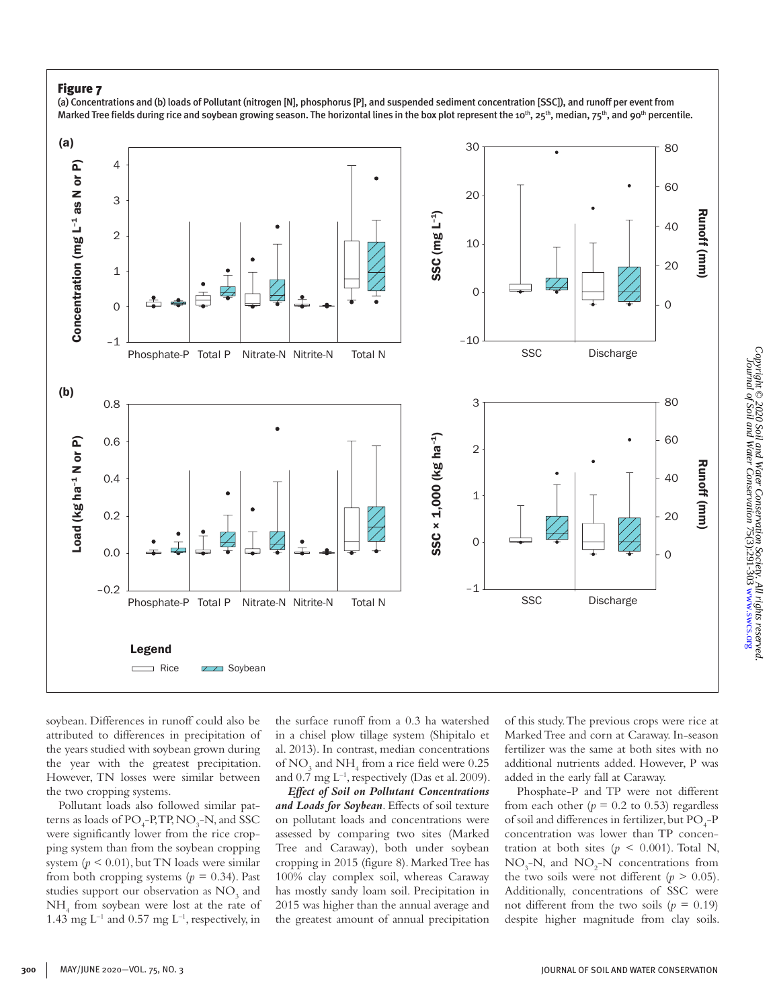

(a) Concentrations and (b) loads of Pollutant (nitrogen [N], phosphorus [P], and suspended sediment concentration [SSC]), and runoff per event from Marked Tree fields during rice and soybean growing season. The horizontal lines in the box plot represent the 10<sup>th</sup>, 25<sup>th</sup>, median, 75<sup>th</sup>, and 90<sup>th</sup> percentile.

soybean. Differences in runoff could also be attributed to differences in precipitation of the years studied with soybean grown during the year with the greatest precipitation. However, TN losses were similar between the two cropping systems.

Pollutant loads also followed similar patterns as loads of  $PO_4$ -P,TP,  $NO_3$ -N, and SSC were significantly lower from the rice cropping system than from the soybean cropping system  $(p < 0.01)$ , but TN loads were similar from both cropping systems ( $p = 0.34$ ). Past studies support our observation as  $\mathrm{NO}_3^{\vphantom{1}}$  and NH4 from soybean were lost at the rate of 1.43 mg  $L^{-1}$  and 0.57 mg  $L^{-1}$ , respectively, in

the surface runoff from a 0.3 ha watershed in a chisel plow tillage system (Shipitalo et al. 2013). In contrast, median concentrations of  $\mathrm{NO}_3$  and  $\mathrm{NH}_4$  from a rice field were 0.25 and  $0.7 \text{ mg } L^{-1}$ , respectively (Das et al. 2009).

*Effect of Soil on Pollutant Concentrations and Loads for Soybean*. Effects of soil texture on pollutant loads and concentrations were assessed by comparing two sites (Marked Tree and Caraway), both under soybean cropping in 2015 (figure 8). Marked Tree has 100% clay complex soil, whereas Caraway has mostly sandy loam soil. Precipitation in 2015 was higher than the annual average and the greatest amount of annual precipitation of this study. The previous crops were rice at Marked Tree and corn at Caraway. In-season fertilizer was the same at both sites with no additional nutrients added. However, P was added in the early fall at Caraway.

Phosphate-P and TP were not different from each other ( $p = 0.2$  to 0.53) regardless of soil and differences in fertilizer, but  $\mathrm{PO}_{4}\text{--} \mathrm{P}$ concentration was lower than TP concentration at both sites  $(p < 0.001)$ . Total N,  $NO_3$ -N, and  $NO_2$ -N concentrations from the two soils were not different ( $p > 0.05$ ). Additionally, concentrations of SSC were not different from the two soils ( $p = 0.19$ ) despite higher magnitude from clay soils.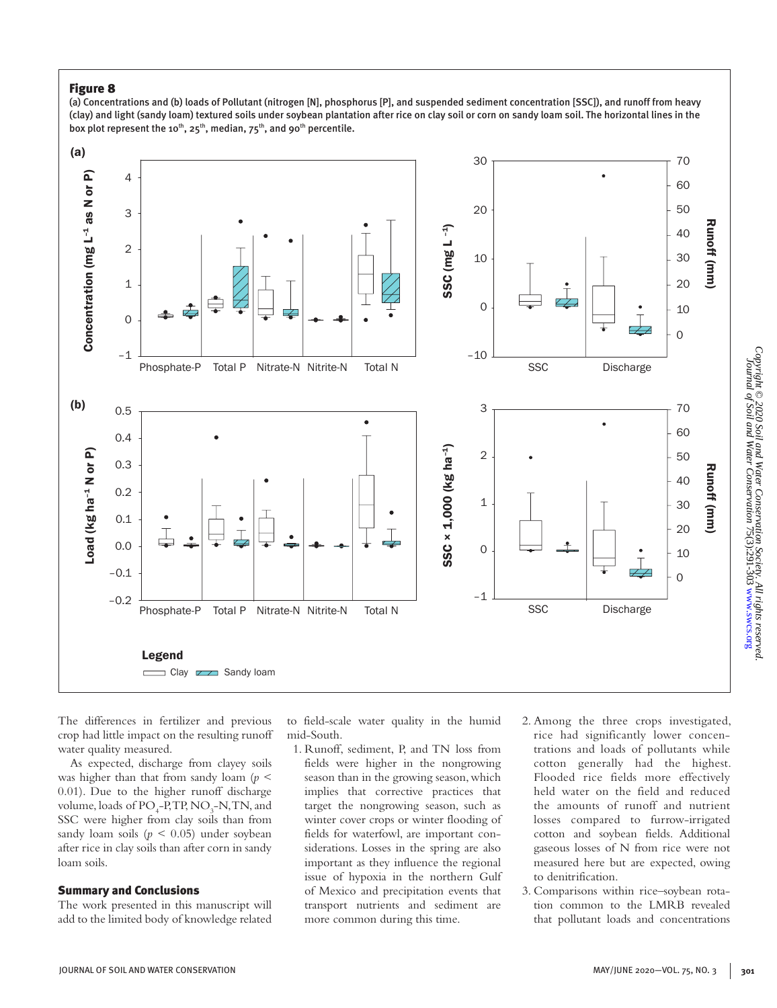

The differences in fertilizer and previous crop had little impact on the resulting runoff water quality measured.

As expected, discharge from clayey soils was higher than that from sandy loam (*p* < 0.01). Due to the higher runoff discharge volume, loads of  $PO_4$ -P,TP, NO<sub>3</sub>-N,TN, and SSC were higher from clay soils than from sandy loam soils  $(p < 0.05)$  under soybean after rice in clay soils than after corn in sandy loam soils.

## Summary and Conclusions

The work presented in this manuscript will add to the limited body of knowledge related

to field-scale water quality in the humid mid-South.

- 1. Runoff, sediment, P, and TN loss from fields were higher in the nongrowing season than in the growing season, which implies that corrective practices that target the nongrowing season, such as winter cover crops or winter flooding of fields for waterfowl, are important considerations. Losses in the spring are also important as they influence the regional issue of hypoxia in the northern Gulf of Mexico and precipitation events that transport nutrients and sediment are more common during this time.
- 2. Among the three crops investigated, rice had significantly lower concentrations and loads of pollutants while cotton generally had the highest. Flooded rice fields more effectively held water on the field and reduced the amounts of runoff and nutrient losses compared to furrow-irrigated cotton and soybean fields. Additional gaseous losses of N from rice were not measured here but are expected, owing to denitrification.
- 3. Comparisons within rice–soybean rotation common to the LMRB revealed that pollutant loads and concentrations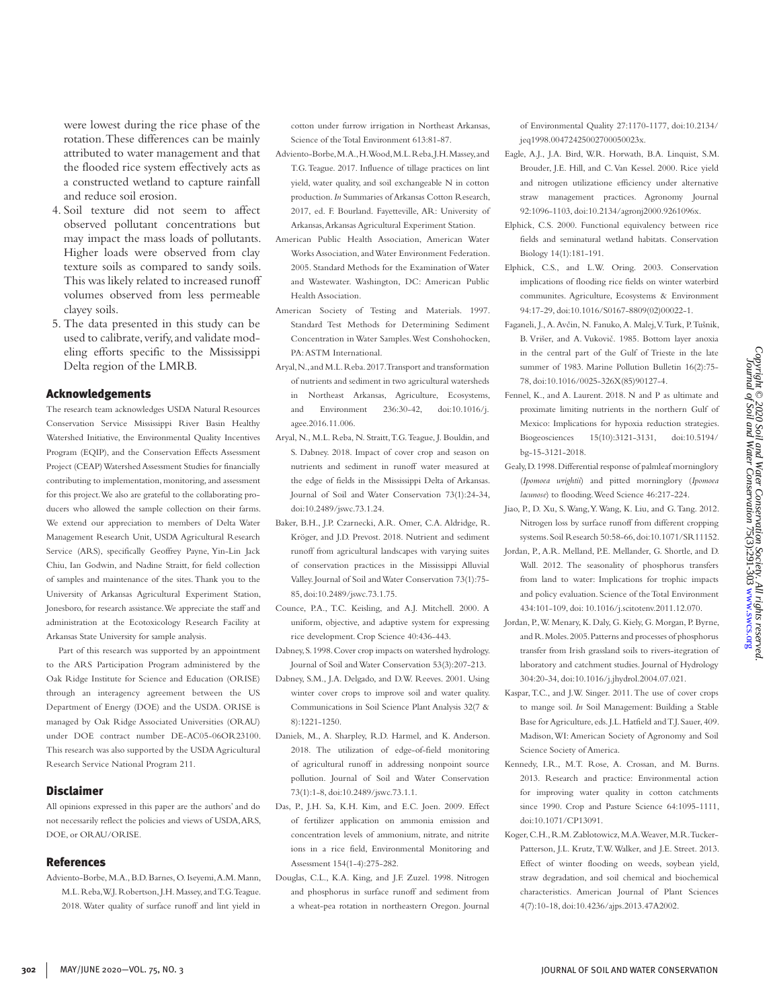were lowest during the rice phase of the rotation. These differences can be mainly attributed to water management and that the flooded rice system effectively acts as a constructed wetland to capture rainfall and reduce soil erosion.

- 4. Soil texture did not seem to affect observed pollutant concentrations but may impact the mass loads of pollutants. Higher loads were observed from clay texture soils as compared to sandy soils. This was likely related to increased runoff volumes observed from less permeable clayey soils.
- 5. The data presented in this study can be used to calibrate, verify, and validate modeling efforts specific to the Mississippi Delta region of the LMRB.

#### Acknowledgements

The research team acknowledges USDA Natural Resources Conservation Service Mississippi River Basin Healthy Watershed Initiative, the Environmental Quality Incentives Program (EQIP), and the Conservation Effects Assessment Project (CEAP) Watershed Assessment Studies for financially contributing to implementation, monitoring, and assessment for this project. We also are grateful to the collaborating producers who allowed the sample collection on their farms. We extend our appreciation to members of Delta Water Management Research Unit, USDA Agricultural Research Service (ARS), specifically Geoffrey Payne, Yin-Lin Jack Chiu, Ian Godwin, and Nadine Straitt, for field collection of samples and maintenance of the sites. Thank you to the University of Arkansas Agricultural Experiment Station, Jonesboro, for research assistance. We appreciate the staff and administration at the Ecotoxicology Research Facility at Arkansas State University for sample analysis.

Part of this research was supported by an appointment to the ARS Participation Program administered by the Oak Ridge Institute for Science and Education (ORISE) through an interagency agreement between the US Department of Energy (DOE) and the USDA. ORISE is managed by Oak Ridge Associated Universities (ORAU) under DOE contract number DE-AC05-06OR23100. This research was also supported by the USDA Agricultural Research Service National Program 211.

#### Disclaimer

All opinions expressed in this paper are the authors' and do not necessarily reflect the policies and views of USDA, ARS, DOE, or ORAU/ORISE.

#### References

Adviento-Borbe, M.A., B.D. Barnes, O. Iseyemi, A.M. Mann, M.L. Reba, W.J. Robertson, J.H. Massey, and T.G. Teague. 2018. Water quality of surface runoff and lint yield in

cotton under furrow irrigation in Northeast Arkansas, Science of the Total Environment 613:81-87.

- Adviento-Borbe, M.A., H. Wood, M.L. Reba, J.H. Massey, and T.G. Teague. 2017. Influence of tillage practices on lint yield, water quality, and soil exchangeable N in cotton production. *In* Summaries of Arkansas Cotton Research, 2017, ed. F. Bourland. Fayetteville, AR: University of Arkansas, Arkansas Agricultural Experiment Station.
- American Public Health Association, American Water Works Association, and Water Environment Federation. 2005. Standard Methods for the Examination of Water and Wastewater. Washington, DC: American Public Health Association.
- American Society of Testing and Materials. 1997. Standard Test Methods for Determining Sediment Concentration in Water Samples. West Conshohocken, PA: ASTM International.
- Aryal, N., and M.L. Reba. 2017. Transport and transformation of nutrients and sediment in two agricultural watersheds in Northeast Arkansas, Agriculture, Ecosystems, and Environment 236:30-42, doi:10.1016/j. agee.2016.11.006.
- Aryal, N., M.L. Reba, N. Straitt, T.G. Teague, J. Bouldin, and S. Dabney. 2018. Impact of cover crop and season on nutrients and sediment in runoff water measured at the edge of fields in the Mississippi Delta of Arkansas. Journal of Soil and Water Conservation 73(1):24-34, doi:10.2489/jswc.73.1.24.
- Baker, B.H., J.P. Czarnecki, A.R. Omer, C.A. Aldridge, R. Kröger, and J.D. Prevost. 2018. Nutrient and sediment runoff from agricultural landscapes with varying suites of conservation practices in the Mississippi Alluvial Valley. Journal of Soil and Water Conservation 73(1):75- 85, doi:10.2489/jswc.73.1.75.
- Counce, P.A., T.C. Keisling, and A.J. Mitchell. 2000. A uniform, objective, and adaptive system for expressing rice development. Crop Science 40:436-443.
- Dabney, S. 1998. Cover crop impacts on watershed hydrology. Journal of Soil and Water Conservation 53(3):207-213.
- Dabney, S.M., J.A. Delgado, and D.W. Reeves. 2001. Using winter cover crops to improve soil and water quality. Communications in Soil Science Plant Analysis 32(7 & 8):1221-1250.
- Daniels, M., A. Sharpley, R.D. Harmel, and K. Anderson. 2018. The utilization of edge-of-field monitoring of agricultural runoff in addressing nonpoint source pollution. Journal of Soil and Water Conservation 73(1):1-8, doi:10.2489/jswc.73.1.1.
- Das, P., J.H. Sa, K.H. Kim, and E.C. Joen. 2009. Effect of fertilizer application on ammonia emission and concentration levels of ammonium, nitrate, and nitrite ions in a rice field, Environmental Monitoring and Assessment 154(1-4):275-282.
- Douglas, C.L., K.A. King, and J.F. Zuzel. 1998. Nitrogen and phosphorus in surface runoff and sediment from a wheat-pea rotation in northeastern Oregon. Journal

of Environmental Quality 27:1170-1177, doi:10.2134/ jeq1998.00472425002700050023x.

- Eagle, A.J., J.A. Bird, W.R. Horwath, B.A. Linquist, S.M. Brouder, J.E. Hill, and C. Van Kessel. 2000. Rice yield and nitrogen utilizatione efficiency under alternative straw management practices. Agronomy Journal 92:1096-1103, doi:10.2134/agronj2000.9261096x.
- Elphick, C.S. 2000. Functional equivalency between rice fields and seminatural wetland habitats. Conservation Biology 14(1):181-191.
- Elphick, C.S., and L.W. Oring. 2003. Conservation implications of flooding rice fields on winter waterbird communites. Agriculture, Ecosystems & Environment 94:17-29, doi:10.1016/S0167-8809(02)00022-1.
- Faganeli, J., A. Avčin, N. Fanuko, A. Malej, V. Turk, P. Tušnik, B. Vrišer, and A. Vukovič. 1985. Bottom layer anoxia in the central part of the Gulf of Trieste in the late summer of 1983. Marine Pollution Bulletin 16(2):75- 78, doi:10.1016/0025-326X(85)90127-4.
- Fennel, K., and A. Laurent. 2018. N and P as ultimate and proximate limiting nutrients in the northern Gulf of Mexico: Implications for hypoxia reduction strategies. Biogeosciences 15(10):3121-3131, doi:10.5194/ bg-15-3121-2018.
- Gealy, D. 1998. Differential response of palmleaf morninglory (*Ipomoea wrightii*) and pitted morninglory (*Ipomoea lacunose*) to flooding. Weed Science 46:217-224.
- Jiao, P., D. Xu, S. Wang, Y. Wang, K. Liu, and G. Tang. 2012. Nitrogen loss by surface runoff from different cropping systems. Soil Research 50:58-66, doi:10.1071/SR11152.
- Jordan, P., A.R. Melland, P.E. Mellander, G. Shortle, and D. Wall. 2012. The seasonality of phosphorus transfers from land to water: Implications for trophic impacts and policy evaluation. Science of the Total Environment 434:101-109, doi: 10.1016/j.scitotenv.2011.12.070.
- Jordan, P., W. Menary, K. Daly, G. Kiely, G. Morgan, P. Byrne, and R. Moles. 2005. Patterns and processes of phosphorus transfer from Irish grassland soils to rivers-itegration of laboratory and catchment studies. Journal of Hydrology 304:20-34, doi:10.1016/j.jhydrol.2004.07.021.
- Kaspar, T.C., and J.W. Singer. 2011. The use of cover crops to mange soil. *In* Soil Management: Building a Stable Base for Agriculture, eds. J.L. Hatfield and T.J. Sauer, 409. Madison, WI: American Society of Agronomy and Soil Science Society of America.
- Kennedy, I.R., M.T. Rose, A. Crossan, and M. Burns. 2013. Research and practice: Environmental action for improving water quality in cotton catchments since 1990. Crop and Pasture Science 64:1095-1111, doi:10.1071/CP13091.
- Koger, C.H., R.M. Zablotowicz, M.A. Weaver, M.R. Tucker-Patterson, J.L. Krutz, T.W. Walker, and J.E. Street. 2013. Effect of winter flooding on weeds, soybean yield, straw degradation, and soil chemical and biochemical characteristics. American Journal of Plant Sciences 4(7):10-18, doi:10.4236/ajps.2013.47A2002.